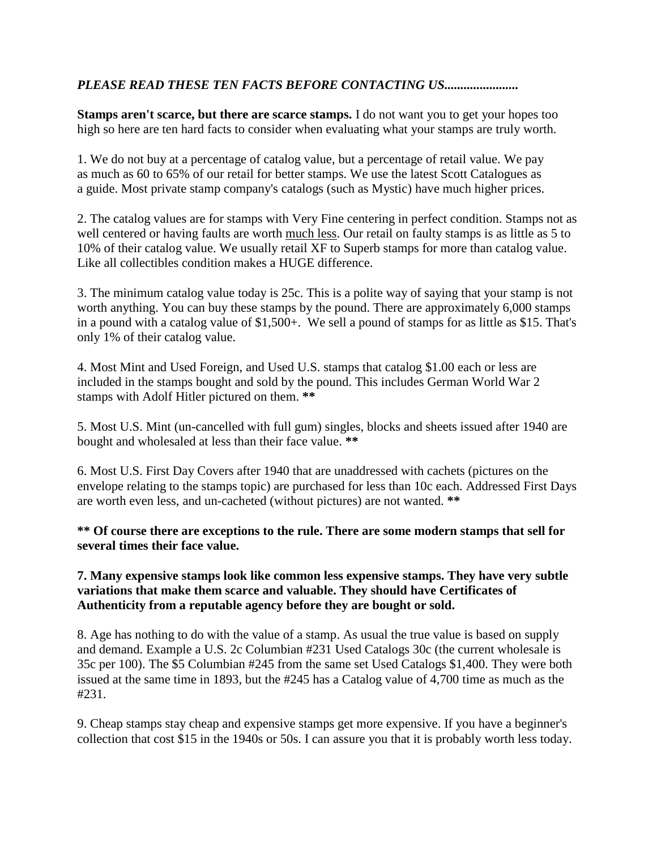## *PLEASE READ THESE TEN FACTS BEFORE CONTACTING US.......................*

**Stamps aren't scarce, but there are scarce stamps.** I do not want you to get your hopes too high so here are ten hard facts to consider when evaluating what your stamps are truly worth.

1. We do not buy at a percentage of catalog value, but a percentage of retail value. We pay as much as 60 to 65% of our retail for better stamps. We use the latest Scott Catalogues as a guide. Most private stamp company's catalogs (such as Mystic) have much higher prices.

2. The catalog values are for stamps with Very Fine centering in perfect condition. Stamps not as well centered or having faults are worth much less. Our retail on faulty stamps is as little as 5 to 10% of their catalog value. We usually retail XF to Superb stamps for more than catalog value. Like all collectibles condition makes a HUGE difference.

3. The minimum catalog value today is 25c. This is a polite way of saying that your stamp is not worth anything. You can buy these stamps by the pound. There are approximately 6,000 stamps in a pound with a catalog value of \$1,500+. We sell a pound of stamps for as little as \$15. That's only 1% of their catalog value.

4. Most Mint and Used Foreign, and Used U.S. stamps that catalog \$1.00 each or less are included in the stamps bought and sold by the pound. This includes German World War 2 stamps with Adolf Hitler pictured on them. **\*\***

5. Most U.S. Mint (un-cancelled with full gum) singles, blocks and sheets issued after 1940 are bought and wholesaled at less than their face value. **\*\***

6. Most U.S. First Day Covers after 1940 that are unaddressed with cachets (pictures on the envelope relating to the stamps topic) are purchased for less than 10c each. Addressed First Days are worth even less, and un-cacheted (without pictures) are not wanted. **\*\***

**\*\* Of course there are exceptions to the rule. There are some modern stamps that sell for several times their face value.**

## **7. Many expensive stamps look like common less expensive stamps. They have very subtle variations that make them scarce and valuable. They should have Certificates of Authenticity from a reputable agency before they are bought or sold.**

8. Age has nothing to do with the value of a stamp. As usual the true value is based on supply and demand. Example a U.S. 2c Columbian #231 Used Catalogs 30c (the current wholesale is 35c per 100). The \$5 Columbian #245 from the same set Used Catalogs \$1,400. They were both issued at the same time in 1893, but the #245 has a Catalog value of 4,700 time as much as the #231.

9. Cheap stamps stay cheap and expensive stamps get more expensive. If you have a beginner's collection that cost \$15 in the 1940s or 50s. I can assure you that it is probably worth less today.